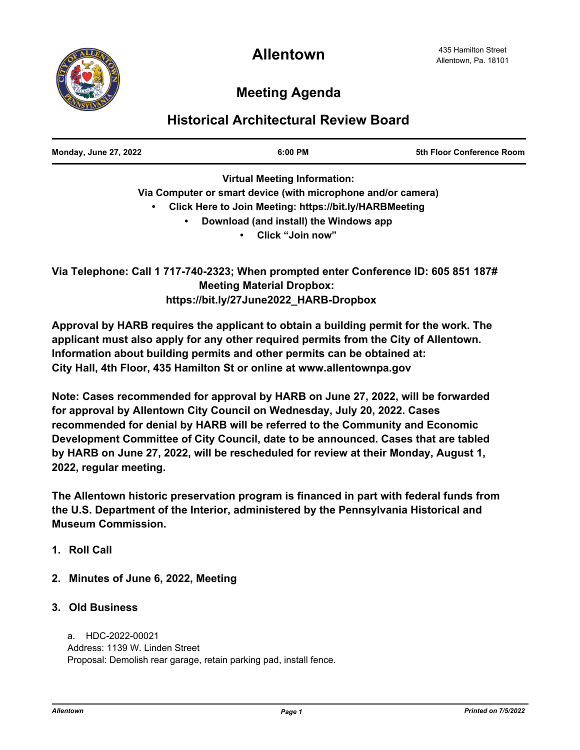# **Meeting Agenda**

## **Historical Architectural Review Board**

| <b>Monday, June 27, 2022</b> | $6:00 \, \text{PM}$ | 5th Floor Conference Room |
|------------------------------|---------------------|---------------------------|
|                              |                     |                           |

**Virtual Meeting Information: Via Computer or smart device (with microphone and/or camera) • Click Here to Join Meeting: https://bit.ly/HARBMeeting • Download (and install) the Windows app**

**• Click "Join now"**

**Via Telephone: Call 1 717-740-2323; When prompted enter Conference ID: 605 851 187# Meeting Material Dropbox: https://bit.ly/27June2022\_HARB-Dropbox**

**Approval by HARB requires the applicant to obtain a building permit for the work. The applicant must also apply for any other required permits from the City of Allentown. Information about building permits and other permits can be obtained at: City Hall, 4th Floor, 435 Hamilton St or online at www.allentownpa.gov**

**Note: Cases recommended for approval by HARB on June 27, 2022, will be forwarded for approval by Allentown City Council on Wednesday, July 20, 2022. Cases recommended for denial by HARB will be referred to the Community and Economic Development Committee of City Council, date to be announced. Cases that are tabled by HARB on June 27, 2022, will be rescheduled for review at their Monday, August 1, 2022, regular meeting.**

**The Allentown historic preservation program is financed in part with federal funds from the U.S. Department of the Interior, administered by the Pennsylvania Historical and Museum Commission.**

- **1. Roll Call**
- **2. Minutes of June 6, 2022, Meeting**
- **3. Old Business**

 a. HDC-2022-00021 Address: 1139 W. Linden Street Proposal: Demolish rear garage, retain parking pad, install fence.